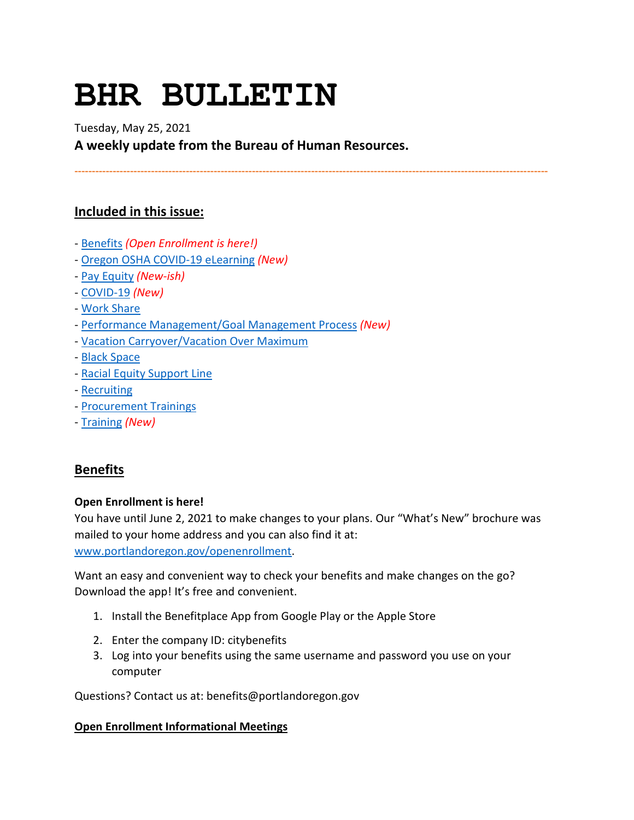# **BHR BULLETIN**

Tuesday, May 25, 2021

**A weekly update from the Bureau of Human Resources.**

**----------------------------------------------------------------------------------------------------------------------------------------**

# **Included in this issue:**

- [Benefits](#page-0-0) *(Open Enrollment is here!)*
- [Oregon OSHA COVID-19](#page-1-0) eLearning *(New)*
- [Pay Equity](#page-2-0) *(New-ish)*
- [COVID-19](#page-2-1) *(New)*
- [Work Share](#page-5-0)
- [Performance Management/Goal Management Process](#page-6-0) *(New)*
- [Vacation Carryover/Vacation Over Maximum](#page-7-0)
- [Black Space](#page-7-1)
- [Racial Equity Support Line](#page-7-2)
- [Recruiting](#page-8-0)
- [Procurement Trainings](#page-8-1)
- [Training](#page-8-2) *(New)*

# <span id="page-0-0"></span>**Benefits**

## **Open Enrollment is here!**

You have until June 2, 2021 to make changes to your plans. Our "What's New" brochure was mailed to your home address and you can also find it at: [www.portlandoregon.gov/openenrollment.](http://www.portlandoregon.gov/openenrollment)

Want an easy and convenient way to check your benefits and make changes on the go? Download the app! It's free and convenient.

- 1. Install the Benefitplace App from Google Play or the Apple Store
- 2. Enter the company ID: citybenefits
- 3. Log into your benefits using the same username and password you use on your computer

Questions? Contact us at: benefits@portlandoregon.gov

## **Open Enrollment Informational Meetings**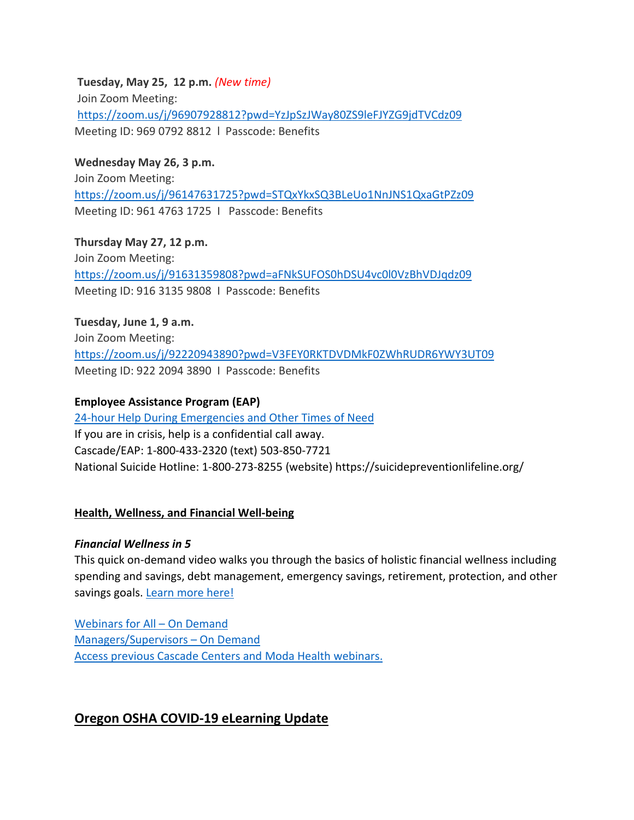**Tuesday, May 25, 12 p.m.** *(New time)* Join Zoom Meeting: <https://zoom.us/j/96907928812?pwd=YzJpSzJWay80ZS9leFJYZG9jdTVCdz09> Meeting ID: 969 0792 8812 l Passcode: Benefits

**Wednesday May 26, 3 p.m.** Join Zoom Meeting: [https://zoom.us/j/96147631725?pwd=STQxYkxSQ3BLeUo1NnJNS1QxaGtPZz09](https://t.e2ma.net/click/fsj82g/zvn1tfb/vw9f39) Meeting ID: 961 4763 1725 I Passcode: Benefits

**Thursday May 27, 12 p.m.** Join Zoom Meeting: <https://zoom.us/j/91631359808?pwd=aFNkSUFOS0hDSU4vc0l0VzBhVDJqdz09> Meeting ID: 916 3135 9808 I Passcode: Benefits

**Tuesday, June 1, 9 a.m.** Join Zoom Meeting: <https://zoom.us/j/92220943890?pwd=V3FEY0RKTDVDMkF0ZWhRUDR6YWY3UT09> Meeting ID: 922 2094 3890 I Passcode: Benefits

## **Employee Assistance Program (EAP)**

[24-hour Help During Emergencies and Other Times of Need](https://www.portlandoregon.gov/bhr/76512) If you are in crisis, help is a confidential call away. Cascade/EAP: 1-800-433-2320 (text) 503-850-7721 National Suicide Hotline: 1-800-273-8255 (website) https://suicidepreventionlifeline.org/

#### **Health, Wellness, and Financial Well-being**

#### *Financial Wellness in 5*

This quick on-demand video walks you through the basics of holistic financial wellness including spending and savings, debt management, emergency savings, retirement, protection, and other savings goals. [Learn more here!](https://www.voya.com/page/financial-wellness-5)

[Webinars for All –](https://cascade-gateway.lifeadvantages.net/module.php/core/loginuserpass.php?AuthState=_1a3a852f693adc187cf20e6ab784129a7005390dae%3Ahttps%3A%2F%2Fcascade-gateway.lifeadvantages.net%2Fsaml2%2Fidp%2FSSOService.php%3Fspentityid%3Dhttps%253A%252F%252Fsaml-01.personaladvantage.com%252Fsp%26cookieTime%3D1615310144%26RelayState%3Dss%253Amem%253A1d8e1b0ec14601a8153ab04497bc5fd0f0d50a5926308558f40d35a41079c199) On Demand [Managers/Supervisors –](https://www.portlandoregon.gov/bhr/article/750308) On Deman[d](https://www.portlandoregon.gov/bhr/article/750308) [Access previous Cascade Centers and Moda Health webinars.](https://www.portlandoregon.gov/bhr/index.cfm?&c=79368)

## <span id="page-1-0"></span>**Oregon OSHA COVID-19 eLearning Update**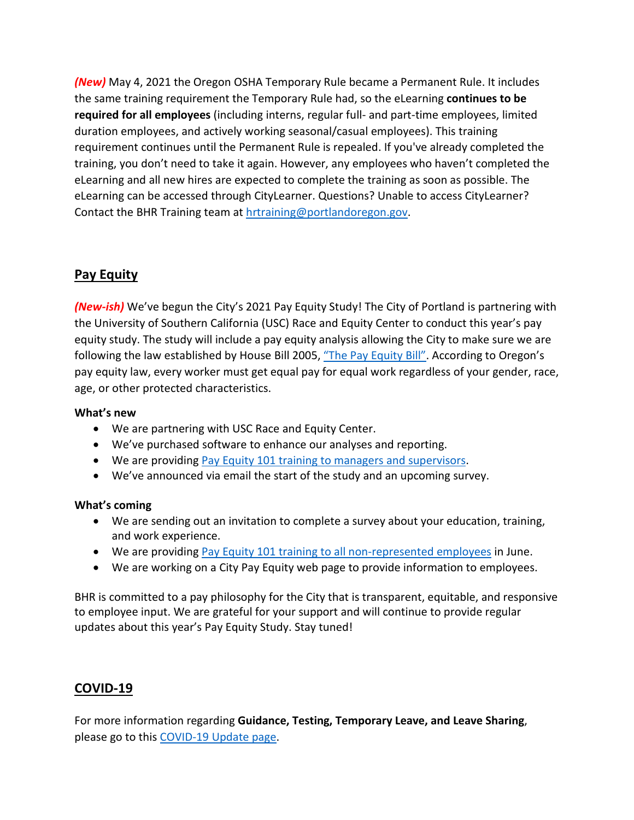*(New)* May 4, 2021 the Oregon OSHA Temporary Rule became a Permanent Rule. It includes the same training requirement the Temporary Rule had, so the eLearning **continues to be required for all employees** (including interns, regular full- and part-time employees, limited duration employees, and actively working seasonal/casual employees). This training requirement continues until the Permanent Rule is repealed. If you've already completed the training, you don't need to take it again. However, any employees who haven't completed the eLearning and all new hires are expected to complete the training as soon as possible. The eLearning can be accessed through CityLearner. Questions? Unable to access CityLearner? Contact the BHR Training team a[t hrtraining@portlandoregon.gov.](mailto:hrtraining@portlandoregon.gov)

# <span id="page-2-0"></span>**Pay Equity**

*(New-ish)* We've begun the City's 2021 Pay Equity Study! The City of Portland is partnering with the University of Southern California (USC) Race and Equity Center to conduct this year's pay equity study. The study will include a pay equity analysis allowing the City to make sure we are following the law established by House Bill 2005, ["The Pay Equity Bill".](https://olis.leg.state.or.us/liz/2017R1/Downloads/MeasureDocument/HB2005) According to Oregon's pay equity law, every worker must get equal pay for equal work regardless of your gender, race, age, or other protected characteristics.

## **What's new**

- We are partnering with USC Race and Equity Center.
- We've purchased software to enhance our analyses and reporting.
- We are providin[g Pay Equity 101 training to managers](https://cityofport.plateau.com/learning/user/deeplink.do?OWASP_CSRFTOKEN=2JYX-EDED-IX4F-7G8K-O8XY-BNUV-9XGZ-D3UJ&linkId=ITEM_DETAILS&componentID=29025&componentTypeID=ILT&fromSF=Y&revisionDate=1619744820000) and supervisors.
- We've announced via email the start of the study and an upcoming survey.

#### **What's coming**

- We are sending out an invitation to complete a survey about your education, training, and work experience.
- We are providin[g Pay Equity 101 training to all non-represented employees](https://cityofport.plateau.com/learning/user/common/viewItemDetails.do?OWASP_CSRFTOKEN=BEQE-STV4-KS8U-JCA9-2VH3-4EA7-A8Q4-IVF7&componentID=29033&componentTypeID=ILT&fromSF=Y&revisionDate=1620957780000&menuGroup=Learning&menuItem=Cur&fromDeepLink=true&hideItemDetailsBackLink=true) in June.
- We are working on a City Pay Equity web page to provide information to employees.

BHR is committed to a pay philosophy for the City that is transparent, equitable, and responsive to employee input. We are grateful for your support and will continue to provide regular updates about this year's Pay Equity Study. Stay tuned!

# <span id="page-2-1"></span>**COVID-19**

For more information regarding **Guidance, Testing, Temporary Leave, and Leave Sharing**, please go to this [COVID-19 Update page.](https://www.portlandoregon.gov/bhr/article/779927)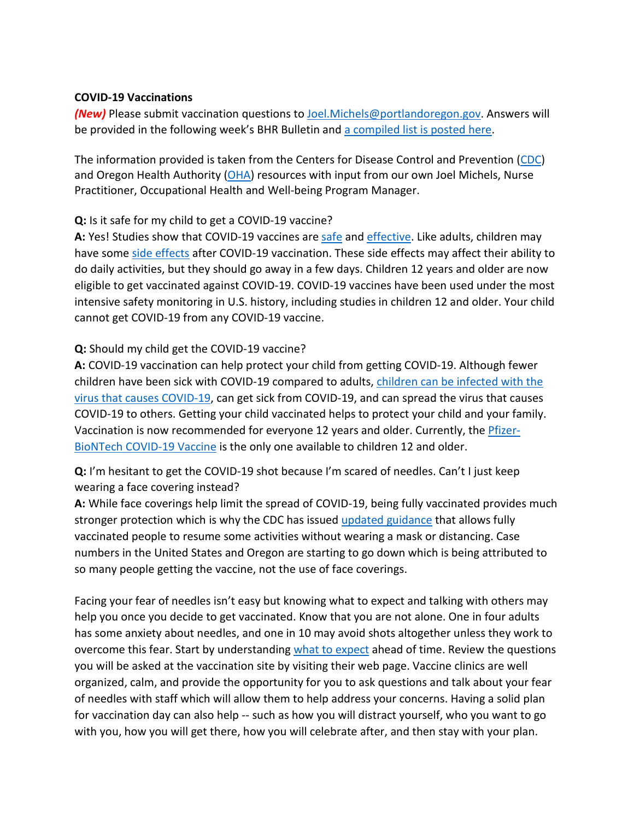## **COVID-19 Vaccinations**

*(New)* Please submit vaccination questions t[o Joel.Michels@portlandoregon.gov.](mailto:Joel.Michels@portlandoregon.gov) Answers will be provided in the following week's BHR Bulletin an[d a compiled list is posted here.](https://www.portlandoregon.gov/bhr/article/783921)

The information provided is taken from the Centers for Disease Control and Prevention [\(CDC\)](https://www.cdc.gov/coronavirus/2019-ncov/vaccines/index.html) and Oregon Health Authority  $(OHA)$  resources with input from our own Joel Michels, Nurse Practitioner, Occupational Health and Well-being Program Manager.

## **Q:** Is it safe for my child to get a COVID-19 vaccine?

**A:** Yes! Studies show that COVID-19 vaccines ar[e safe](https://www.cdc.gov/coronavirus/2019-ncov/vaccines/safety/safety-of-vaccines.html) and [effective.](https://www.cdc.gov/coronavirus/2019-ncov/vaccines/effectiveness.html) Like adults, children may have some [side effects](https://www.cdc.gov/coronavirus/2019-ncov/vaccines/expect/after.html) after COVID-19 vaccination. These side effects may affect their ability to do daily activities, but they should go away in a few days. Children 12 years and older are now eligible to get vaccinated against COVID-19. COVID-19 vaccines have been used under the most intensive safety monitoring in U.S. history, including studies in children 12 and older. Your child cannot get COVID-19 from any COVID-19 vaccine.

## **Q:** Should my child get the COVID-19 vaccine?

**A:** COVID-19 vaccination can help protect your child from getting COVID-19. Although fewer children have been sick with COVID-19 compared to adults, [children can be infected with the](https://www.cdc.gov/coronavirus/2019-ncov/daily-life-coping/children/symptoms.html)  [virus that causes COVID-19,](https://www.cdc.gov/coronavirus/2019-ncov/daily-life-coping/children/symptoms.html) can get sick from COVID-19, and can spread the virus that causes COVID-19 to others. Getting your child vaccinated helps to protect your child and your family. Vaccination is now recommended for everyone 12 years and older. Currently, the [Pfizer-](https://www.cdc.gov/coronavirus/2019-ncov/vaccines/different-vaccines/Pfizer-BioNTech.html)[BioNTech COVID-19 Vaccine](https://www.cdc.gov/coronavirus/2019-ncov/vaccines/different-vaccines/Pfizer-BioNTech.html) is the only one available to children 12 and older.

**Q:** I'm hesitant to get the COVID-19 shot because I'm scared of needles. Can't I just keep wearing a face covering instead?

**A:** While face coverings help limit the spread of COVID-19, being fully vaccinated provides much stronger protection which is why the CDC has issued [updated guidance](https://www.cdc.gov/coronavirus/2019-ncov/vaccines/fully-vaccinated.html) that allows fully vaccinated people to resume some activities without wearing a mask or distancing. Case numbers in the United States and Oregon are starting to go down which is being attributed to so many people getting the vaccine, not the use of face coverings.

Facing your fear of needles isn't easy but knowing what to expect and talking with others may help you once you decide to get vaccinated. Know that you are not alone. One in four adults has some anxiety about needles, and one in 10 may avoid shots altogether unless they work to overcome this fear. Start by understanding [what to expect](https://www.cdc.gov/coronavirus/2019-ncov/vaccines/prepare-for-vaccination.html) ahead of time. Review the questions you will be asked at the vaccination site by visiting their web page. Vaccine clinics are well organized, calm, and provide the opportunity for you to ask questions and talk about your fear of needles with staff which will allow them to help address your concerns. Having a solid plan for vaccination day can also help -- such as how you will distract yourself, who you want to go with you, how you will get there, how you will celebrate after, and then stay with your plan.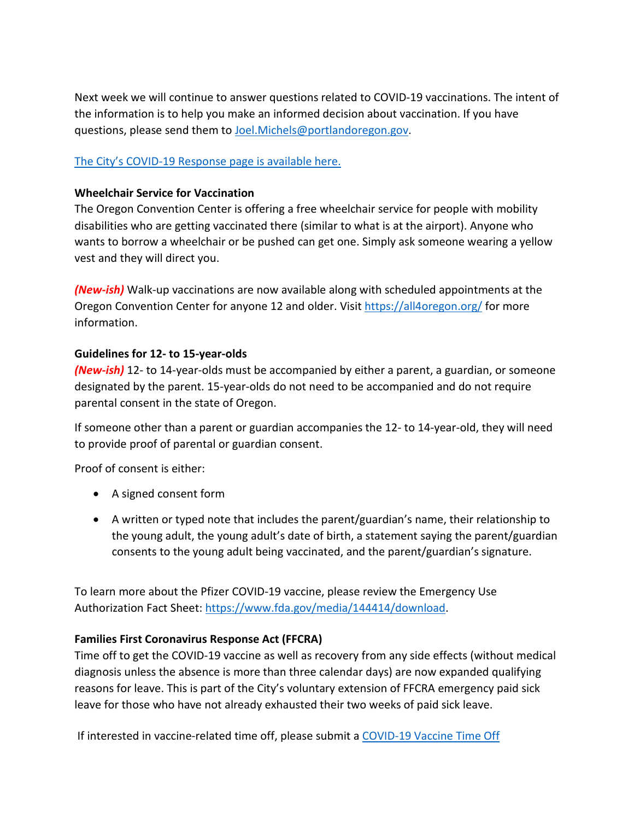Next week we will continue to answer questions related to COVID-19 vaccinations. The intent of the information is to help you make an informed decision about vaccination. If you have questions, please send them to **Joel.Michels@portlandoregon.gov**.

## [The City's COVID-19 Response page is available here.](https://www.portlandoregon.gov/bhr/index.cfm?&c=81055)

## **Wheelchair Service for Vaccination**

The Oregon Convention Center is offering a free wheelchair service for people with mobility disabilities who are getting vaccinated there (similar to what is at the airport). Anyone who wants to borrow a wheelchair or be pushed can get one. Simply ask someone wearing a yellow vest and they will direct you.

*(New-ish)* Walk-up vaccinations are now available along with scheduled appointments at the Oregon Convention Center for anyone 12 and older. Visit<https://all4oregon.org/> for more information.

## **Guidelines for 12- to 15-year-olds**

*(New-ish)* 12- to 14-year-olds must be accompanied by either a parent, a guardian, or someone designated by the parent. 15-year-olds do not need to be accompanied and do not require parental consent in the state of Oregon.

If someone other than a parent or guardian accompanies the 12- to 14-year-old, they will need to provide proof of parental or guardian consent.

Proof of consent is either:

- A signed consent form
- A written or typed note that includes the parent/guardian's name, their relationship to the young adult, the young adult's date of birth, a statement saying the parent/guardian consents to the young adult being vaccinated, and the parent/guardian's signature.

To learn more about the Pfizer COVID-19 vaccine, please review the Emergency Use Authorization Fact Sheet: [https://www.fda.gov/media/144414/download.](https://www.fda.gov/media/144414/download)

## **Families First Coronavirus Response Act (FFCRA)**

Time off to get the COVID-19 vaccine as well as recovery from any side effects (without medical diagnosis unless the absence is more than three calendar days) are now expanded qualifying reasons for leave. This is part of the City's voluntary extension of FFCRA emergency paid sick leave for those who have not already exhausted their two weeks of paid sick leave.

If interested in vaccine-related time off, please submit a COVID-19 Vaccine Time Off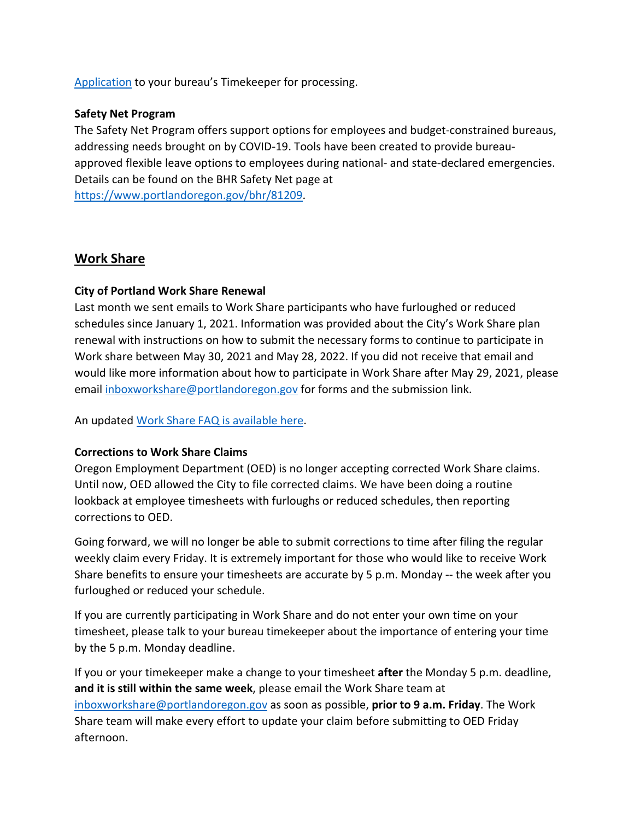[Application](https://www.portlandoregon.gov/bhr/article/782926) to your bureau's Timekeeper for processing.

## **Safety Net Program**

The Safety Net Program offers support options for employees and budget-constrained bureaus, addressing needs brought on by COVID-19. Tools have been created to provide bureauapproved flexible leave options to employees during national- and state-declared emergencies. Details can be found on the BHR Safety Net page at [https://www.portlandoregon.gov/bhr/81209.](https://www.portlandoregon.gov/bhr/81209)

## <span id="page-5-0"></span>**Work Share**

## **City of Portland Work Share Renewal**

Last month we sent emails to Work Share participants who have furloughed or reduced schedules since January 1, 2021. Information was provided about the City's Work Share plan renewal with instructions on how to submit the necessary forms to continue to participate in Work share between May 30, 2021 and May 28, 2022. If you did not receive that email and would like more information about how to participate in Work Share after May 29, 2021, please email [inboxworkshare@portlandoregon.gov](mailto:inboxworkshare@portlandoregon.gov) for forms and the submission link.

An updated [Work Share FAQ is available here.](https://www.portlandoregon.gov/bhr/article/761976)

#### **Corrections to Work Share Claims**

Oregon Employment Department (OED) is no longer accepting corrected Work Share claims. Until now, OED allowed the City to file corrected claims. We have been doing a routine lookback at employee timesheets with furloughs or reduced schedules, then reporting corrections to OED.

Going forward, we will no longer be able to submit corrections to time after filing the regular weekly claim every Friday. It is extremely important for those who would like to receive Work Share benefits to ensure your timesheets are accurate by 5 p.m. Monday -- the week after you furloughed or reduced your schedule.

If you are currently participating in Work Share and do not enter your own time on your timesheet, please talk to your bureau timekeeper about the importance of entering your time by the 5 p.m. Monday deadline.

If you or your timekeeper make a change to your timesheet **after** the Monday 5 p.m. deadline, **and it is still within the same week**, please email the Work Share team at [inboxworkshare@portlandoregon.gov](mailto:inboxworkshare@portlandoregon.gov) as soon as possible, **prior to 9 a.m. Friday**. The Work Share team will make every effort to update your claim before submitting to OED Friday afternoon.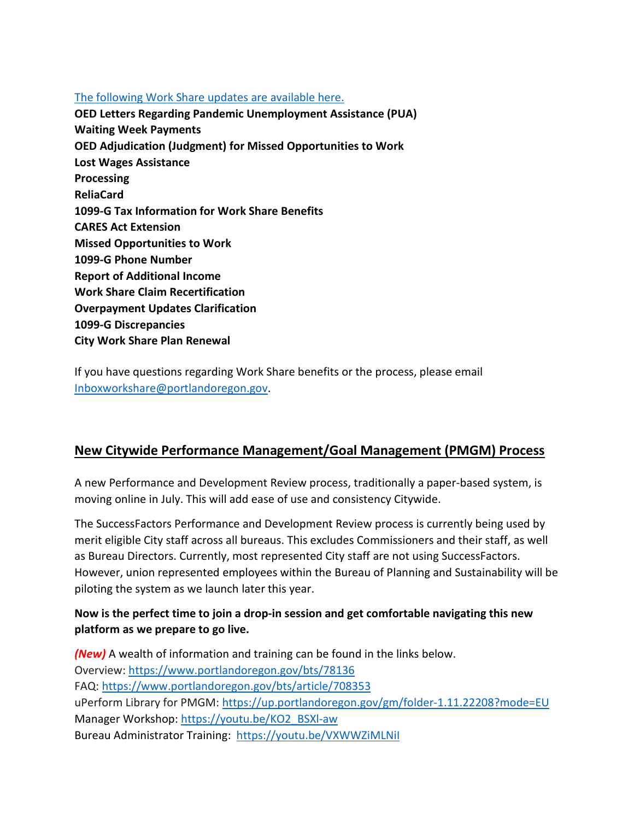## [The following Work Share updates are available here.](https://www.portlandoregon.gov/bhr/article/782660)

**OED Letters Regarding Pandemic Unemployment Assistance (PUA) Waiting Week Payments OED Adjudication (Judgment) for Missed Opportunities to Work Lost Wages Assistance Processing ReliaCard 1099-G Tax Information for Work Share Benefits CARES Act Extension Missed Opportunities to Work 1099-G Phone Number Report of Additional Income Work Share Claim Recertification Overpayment Updates Clarification 1099-G Discrepancies City Work Share Plan Renewal**

If you have questions regarding Work Share benefits or the process, please email [Inboxworkshare@portlandoregon.gov.](mailto:Inboxworkshare@portlandoregon.gov)

## <span id="page-6-0"></span>**New Citywide Performance Management/Goal Management (PMGM) Process**

A new Performance and Development Review process, traditionally a paper-based system, is moving online in July. This will add ease of use and consistency Citywide.

The SuccessFactors Performance and Development Review process is currently being used by merit eligible City staff across all bureaus. This excludes Commissioners and their staff, as well as Bureau Directors. Currently, most represented City staff are not using SuccessFactors. However, union represented employees within the Bureau of Planning and Sustainability will be piloting the system as we launch later this year.

## **Now is the perfect time to join a drop-in session and get comfortable navigating this new platform as we prepare to go live.**

*(New)* A wealth of information and training can be found in the links below. Overview:<https://www.portlandoregon.gov/bts/78136> FAQ:<https://www.portlandoregon.gov/bts/article/708353> uPerform Library for PMGM:<https://up.portlandoregon.gov/gm/folder-1.11.22208?mode=EU> Manager Workshop: [https://youtu.be/KO2\\_BSXl-aw](https://youtu.be/KO2_BSXl-aw) Bureau Administrator Training: <https://youtu.be/VXWWZiMLNiI>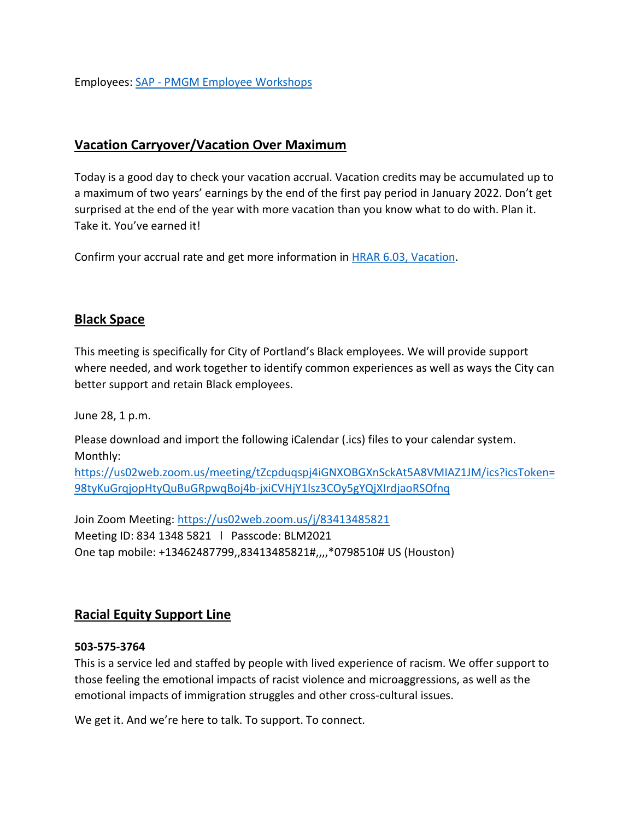Employees: SAP - [PMGM Employee Workshops](https://performancemanager4.successfactors.com/sf/learning?destUrl=https%3a%2f%2fcityofport%2eplateau%2ecom%2flearning%2fuser%2fdeeplink%5fredirect%2ejsp%3flinkId%3dITEM%5fDETAILS%26componentID%3d16006%26componentTypeID%3dILT%26revisionDate%3d1581725460000%26fromSF%3dY&company=cityofport)

## <span id="page-7-0"></span>**Vacation Carryover/Vacation Over Maximum**

Today is a good day to check your vacation accrual. Vacation credits may be accumulated up to a maximum of two years' earnings by the end of the first pay period in January 2022. Don't get surprised at the end of the year with more vacation than you know what to do with. Plan it. Take it. You've earned it!

Confirm your accrual rate and get more information in [HRAR 6.03, Vacation.](https://www.portlandoregon.gov/citycode/article/12413)

## <span id="page-7-1"></span>**Black Space**

This meeting is specifically for City of Portland's Black employees. We will provide support where needed, and work together to identify common experiences as well as ways the City can better support and retain Black employees.

June 28, 1 p.m.

Please download and import the following iCalendar (.ics) files to your calendar system. Monthly:

[https://us02web.zoom.us/meeting/tZcpduqspj4iGNXOBGXnSckAt5A8VMIAZ1JM/ics?icsToken=](https://us02web.zoom.us/meeting/tZcpduqspj4iGNXOBGXnSckAt5A8VMIAZ1JM/ics?icsToken=98tyKuGrqjopHtyQuBuGRpwqBoj4b-jxiCVHjY1lsz3COy5gYQjXIrdjaoRSOfnq) [98tyKuGrqjopHtyQuBuGRpwqBoj4b-jxiCVHjY1lsz3COy5gYQjXIrdjaoRSOfnq](https://us02web.zoom.us/meeting/tZcpduqspj4iGNXOBGXnSckAt5A8VMIAZ1JM/ics?icsToken=98tyKuGrqjopHtyQuBuGRpwqBoj4b-jxiCVHjY1lsz3COy5gYQjXIrdjaoRSOfnq)

Join Zoom Meeting:<https://us02web.zoom.us/j/83413485821> Meeting ID: 834 1348 5821 l Passcode: BLM2021 One tap mobile: +13462487799,,83413485821#,,,,\*0798510# US (Houston)

## <span id="page-7-2"></span>**Racial Equity Support Line**

#### **503-575-3764**

This is a service led and staffed by people with lived experience of racism. We offer support to those feeling the emotional impacts of racist violence and microaggressions, as well as the emotional impacts of immigration struggles and other cross-cultural issues.

We get it. And we're here to talk. To support. To connect.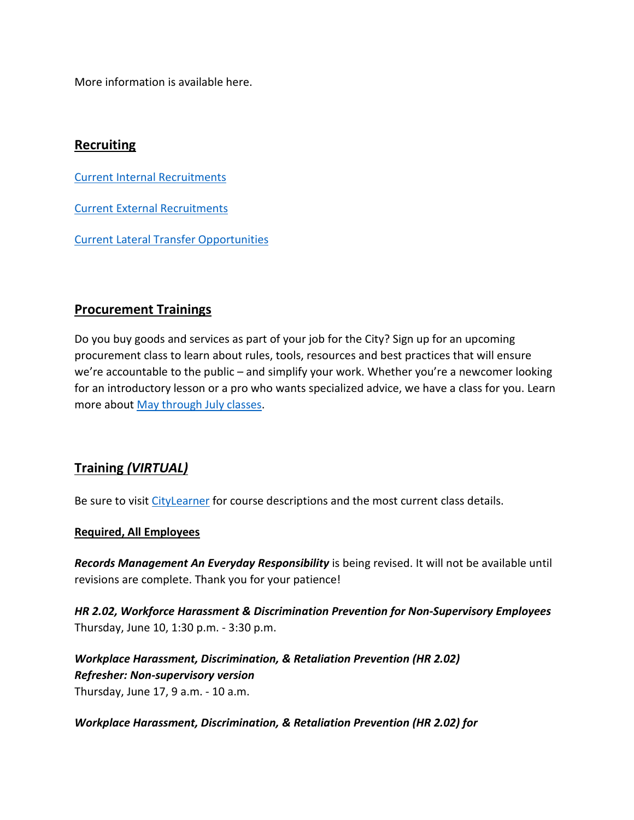More information is available here.

## <span id="page-8-0"></span>**Recruiting**

[Current Internal Recruitments](https://www.governmentjobs.com/careers/portlandor/promotionaljobs)

[Current External Recruitments](https://www.governmentjobs.com/careers/portlandor?)

[Current Lateral Transfer Opportunities](https://www.governmentjobs.com/careers/portlandor/transferjobs)

## <span id="page-8-1"></span>**Procurement Trainings**

Do you buy goods and services as part of your job for the City? Sign up for an upcoming procurement class to learn about rules, tools, resources and best practices that will ensure we're accountable to the public – and simplify your work. Whether you're a newcomer looking for an introductory lesson or a pro who wants specialized advice, we have a class for you. Learn more about [May through July classes.](https://www.portlandoregon.gov/brfs/index.cfm?&a=780678)

# <span id="page-8-2"></span>**Training** *(VIRTUAL)*

Be sure to visit [CityLearner](https://www.portlandoregon.gov/bhr/article/446111) for course descriptions and the most current class details.

#### **Required, All Employees**

*Records Management An Everyday Responsibility* is being revised. It will not be available until revisions are complete. Thank you for your patience!

*HR 2.02, Workforce Harassment & Discrimination Prevention for Non-Supervisory Employees* Thursday, June 10, 1:30 p.m. - 3:30 p.m.

*Workplace Harassment, Discrimination, & Retaliation Prevention (HR 2.02) Refresher: Non-supervisory version*  Thursday, June 17, 9 a.m. - 10 a.m.

*Workplace Harassment, Discrimination, & Retaliation Prevention (HR 2.02) for*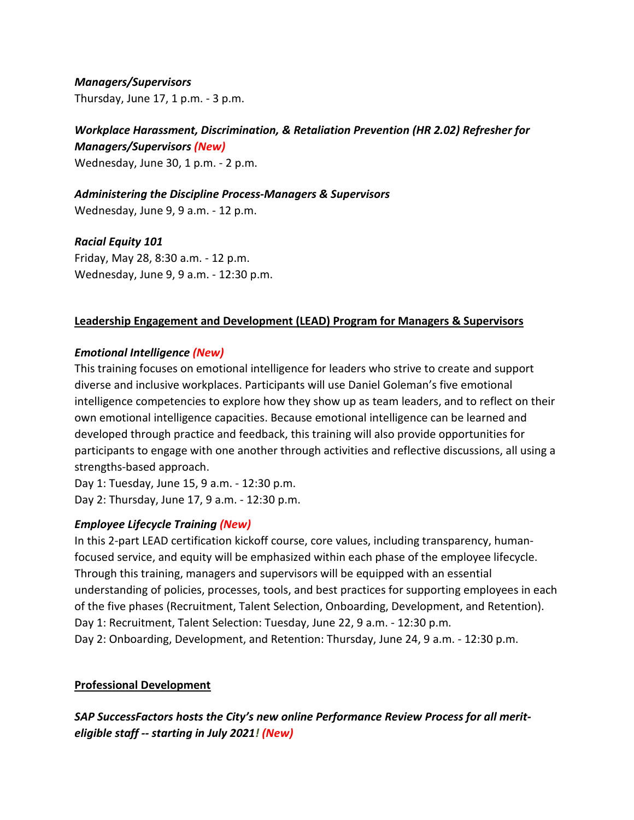*Managers/Supervisors*  Thursday, June 17, 1 p.m. - 3 p.m.

# *Workplace Harassment, Discrimination, & Retaliation Prevention (HR 2.02) Refresher for Managers/Supervisors (New)*

Wednesday, June 30, 1 p.m. - 2 p.m.

*Administering the Discipline Process-Managers & Supervisors*

Wednesday, June 9, 9 a.m. - 12 p.m.

*Racial Equity 101* Friday, May 28, 8:30 a.m. - 12 p.m. Wednesday, June 9, 9 a.m. - 12:30 p.m.

## **Leadership Engagement and Development (LEAD) Program for Managers & Supervisors**

## *Emotional Intelligence (New)*

This training focuses on emotional intelligence for leaders who strive to create and support diverse and inclusive workplaces. Participants will use Daniel Goleman's five emotional intelligence competencies to explore how they show up as team leaders, and to reflect on their own emotional intelligence capacities. Because emotional intelligence can be learned and developed through practice and feedback, this training will also provide opportunities for participants to engage with one another through activities and reflective discussions, all using a strengths-based approach.

Day 1: Tuesday, June 15, 9 a.m. - 12:30 p.m. Day 2: Thursday, June 17, 9 a.m. - 12:30 p.m.

## *Employee Lifecycle Training (New)*

In this 2-part LEAD certification kickoff course, core values, including transparency, humanfocused service, and equity will be emphasized within each phase of the employee lifecycle. Through this training, managers and supervisors will be equipped with an essential understanding of policies, processes, tools, and best practices for supporting employees in each of the five phases (Recruitment, Talent Selection, Onboarding, Development, and Retention). Day 1: Recruitment, Talent Selection: Tuesday, June 22, 9 a.m. - 12:30 p.m. Day 2: Onboarding, Development, and Retention: Thursday, June 24, 9 a.m. - 12:30 p.m.

## **Professional Development**

*SAP SuccessFactors hosts the City's new online Performance Review Process for all meriteligible staff -- starting in July 2021! (New)*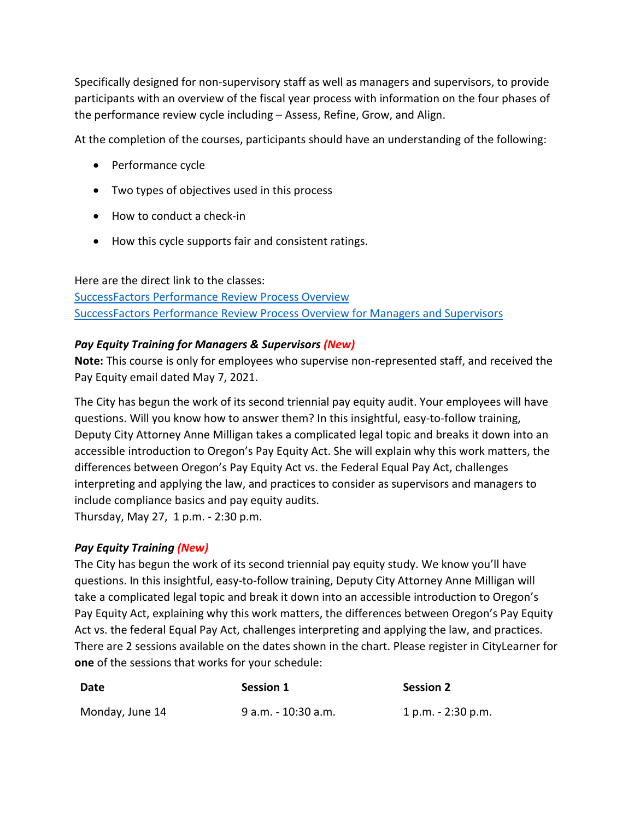Specifically designed for non-supervisory staff as well as managers and supervisors, to provide participants with an overview of the fiscal year process with information on the four phases of the performance review cycle including – Assess, Refine, Grow, and Align.

At the completion of the courses, participants should have an understanding of the following:

- Performance cycle
- Two types of objectives used in this process
- How to conduct a check-in
- How this cycle supports fair and consistent ratings.

Here are the direct link to the classes:

[SuccessFactors Performance Review Process Overview](https://performancemanager4.successfactors.com/sf/learning?destUrl=https%3a%2f%2fcityofport%2eplateau%2ecom%2flearning%2fuser%2fdeeplink%5fredirect%2ejsp%3flinkId%3dITEM%5fDETAILS%26componentID%3d29037%26componentTypeID%3dELRN%26revisionDate%3d1621295700000%26fromSF%3dY&company=cityofport) [SuccessFactors Performance Review Process Overview for Managers and Supervisors](https://performancemanager4.successfactors.com/sf/learning?destUrl=https%3a%2f%2fcityofport%2eplateau%2ecom%2flearning%2fuser%2fdeeplink%5fredirect%2ejsp%3flinkId%3dITEM%5fDETAILS%26componentID%3d29040%26componentTypeID%3dELRN%26revisionDate%3d1621298220000%26fromSF%3dY&company=cityofport)

## *Pay Equity Training for Managers & Supervisors (New)*

**Note:** This course is only for employees who supervise non-represented staff, and received the Pay Equity email dated May 7, 2021.

The City has begun the work of its second triennial pay equity audit. Your employees will have questions. Will you know how to answer them? In this insightful, easy-to-follow training, Deputy City Attorney Anne Milligan takes a complicated legal topic and breaks it down into an accessible introduction to Oregon's Pay Equity Act. She will explain why this work matters, the differences between Oregon's Pay Equity Act vs. the Federal Equal Pay Act, challenges interpreting and applying the law, and practices to consider as supervisors and managers to include compliance basics and pay equity audits.

Thursday, May 27, 1 p.m. - 2:30 p.m.

## *Pay Equity Training (New)*

The City has begun the work of its second triennial pay equity study. We know you'll have questions. In this insightful, easy-to-follow training, Deputy City Attorney Anne Milligan will take a complicated legal topic and break it down into an accessible introduction to Oregon's Pay Equity Act, explaining why this work matters, the differences between Oregon's Pay Equity Act vs. the federal Equal Pay Act, challenges interpreting and applying the law, and practices. There are 2 sessions available on the dates shown in the chart. Please register in CityLearner for **one** of the sessions that works for your schedule:

| Date            | Session 1           | <b>Session 2</b>     |
|-----------------|---------------------|----------------------|
| Monday, June 14 | 9 a.m. - 10:30 a.m. | $1 p.m. - 2:30 p.m.$ |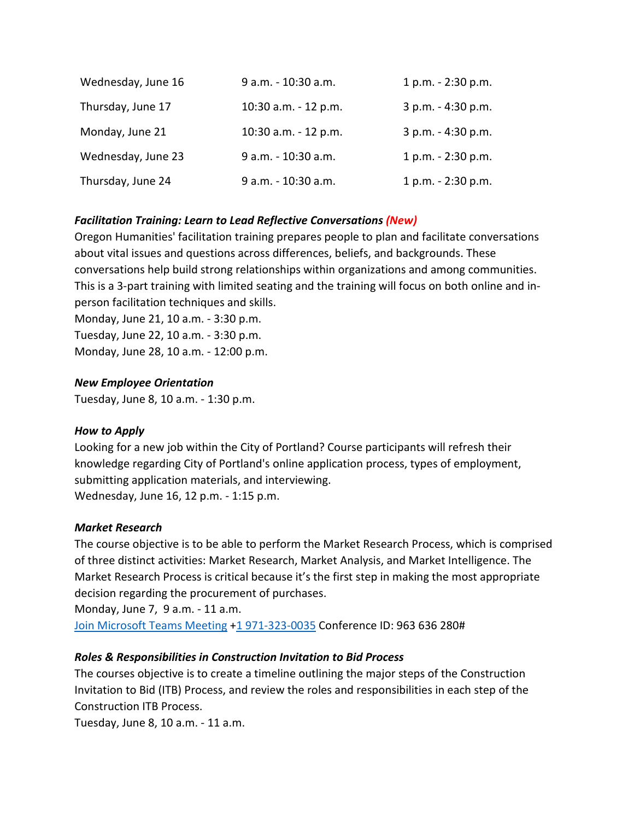| Wednesday, June 16 | 9 a.m. - 10:30 a.m.  | 1 p.m. - 2:30 p.m. |
|--------------------|----------------------|--------------------|
| Thursday, June 17  | 10:30 a.m. - 12 p.m. | 3 p.m. - 4:30 p.m. |
| Monday, June 21    | 10:30 a.m. - 12 p.m. | 3 p.m. - 4:30 p.m. |
| Wednesday, June 23 | 9 a.m. - 10:30 a.m.  | 1 p.m. - 2:30 p.m. |
| Thursday, June 24  | 9 a.m. - 10:30 a.m.  | 1 p.m. - 2:30 p.m. |

## *Facilitation Training: Learn to Lead Reflective Conversations (New)*

Oregon Humanities' facilitation training prepares people to plan and facilitate conversations about vital issues and questions across differences, beliefs, and backgrounds. These conversations help build strong relationships within organizations and among communities. This is a 3-part training with limited seating and the training will focus on both online and inperson facilitation techniques and skills.

Monday, June 21, 10 a.m. - 3:30 p.m. Tuesday, June 22, 10 a.m. - 3:30 p.m. Monday, June 28, 10 a.m. - 12:00 p.m.

## *New Employee Orientation*

Tuesday, June 8, 10 a.m. - 1:30 p.m.

## *How to Apply*

Looking for a new job within the City of Portland? Course participants will refresh their knowledge regarding City of Portland's online application process, types of employment, submitting application materials, and interviewing. Wednesday, June 16, 12 p.m. - 1:15 p.m.

## *Market Research*

The course objective is to be able to perform the Market Research Process, which is comprised of three distinct activities: Market Research, Market Analysis, and Market Intelligence. The Market Research Process is critical because it's the first step in making the most appropriate decision regarding the procurement of purchases.

Monday, June 7, 9 a.m. - 11 a.m. [Join Microsoft Teams Meeting](https://teams.microsoft.com/dl/launcher/launcher.html?url=%2F_%23%2Fl%2Fmeetup-join%2F19%3Ameeting_YTUwYjg0ODEtMTZiMS00ZmRlLThjODctZDE5NDdkNzg1ZTdh%40thread.v2%2F0%3Fcontext%3D%257b%2522Tid%2522%253a%2522636d7808-73c9-41a7-97aa-8c4733642141%2522%252c%2522Oid%2522%253a%252286b2ae6e-2fe6-44ca-9974-4b60b2e2cd99%2522%257d%26anon%3Dtrue&type=meetup-join&deeplinkId=6c066d0b-0725-464d-9d13-2c553e9124ae&directDl=true&msLaunch=true&enableMobilePage=true) [+1 971-323-0035](tel:+1%20971-323-0035,,355477073#%20) Conference ID: 963 636 280#

## *Roles & Responsibilities in Construction Invitation to Bid Process*

The courses objective is to create a timeline outlining the major steps of the Construction Invitation to Bid (ITB) Process, and review the roles and responsibilities in each step of the Construction ITB Process.

Tuesday, June 8, 10 a.m. - 11 a.m.